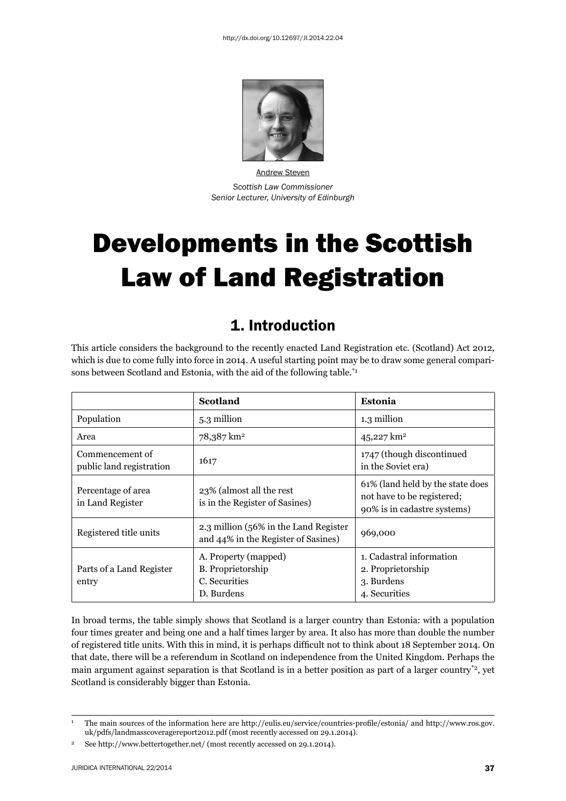

Andrew Steven *Scottish Law Commissioner Senior Lecturer, University of Edinburgh*

# Developments in the Scottish Law of Land Registration

### 1. Introduction

This article considers the background to the recently enacted Land Registration etc. (Scotland) Act 2012, which is due to come fully into force in 2014. A useful starting point may be to draw some general comparisons between Scotland and Estonia, with the aid of the following table.<sup>\*1</sup>

|                                             | <b>Scotland</b>                                                              | Estonia                                                                                       |
|---------------------------------------------|------------------------------------------------------------------------------|-----------------------------------------------------------------------------------------------|
| Population                                  | 5.3 million                                                                  | 1.3 million                                                                                   |
| Area                                        | 78,387 km <sup>2</sup>                                                       | 45,227 $km^2$                                                                                 |
| Commencement of<br>public land registration | 1617                                                                         | 1747 (though discontinued<br>in the Soviet era)                                               |
| Percentage of area<br>in Land Register      | 23% (almost all the rest<br>is in the Register of Sasines)                   | 61% (land held by the state does<br>not have to be registered;<br>90% is in cadastre systems) |
| Registered title units                      | 2.3 million (56% in the Land Register<br>and 44% in the Register of Sasines) | 969,000                                                                                       |
| Parts of a Land Register<br>entry           | A. Property (mapped)<br>B. Proprietorship<br>C. Securities<br>D. Burdens     | 1. Cadastral information<br>2. Proprietorship<br>3. Burdens<br>4. Securities                  |

In broad terms, the table simply shows that Scotland is a larger country than Estonia: with a population four times greater and being one and a half times larger by area. It also has more than double the number of registered title units. With this in mind, it is perhaps difficult not to think about 18 September 2014. On that date, there will be a referendum in Scotland on independence from the United Kingdom. Perhaps the main argument against separation is that Scotland is in a better position as part of a larger country\*2, yet Scotland is considerably bigger than Estonia.

<sup>1</sup> The main sources of the information here are http://eulis.eu/service/countries-profile/estonia/ and http://www.ros.gov. uk/pdfs/landmasscoveragereport2012.pdf (most recently accessed on 29.1.2014).

<sup>&</sup>lt;sup>2</sup> See http://www.bettertogether.net/ (most recently accessed on 29.1.2014).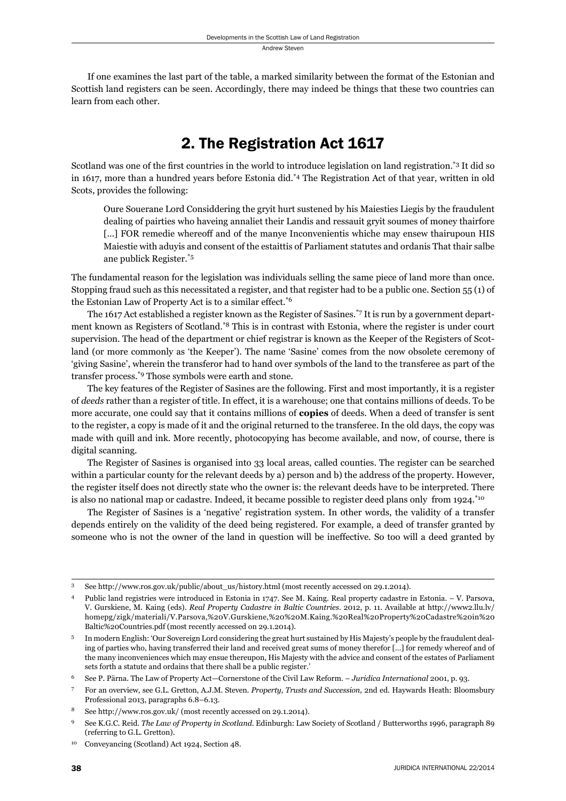If one examines the last part of the table, a marked similarity between the format of the Estonian and Scottish land registers can be seen. Accordingly, there may indeed be things that these two countries can learn from each other.

## 2. The Registration Act 1617

Scotland was one of the first countries in the world to introduce legislation on land registration.\*3 It did so in 1617, more than a hundred years before Estonia did.\*4 The Registration Act of that year, written in old Scots, provides the following:

Oure Souerane Lord Considdering the gryit hurt sustened by his Maiesties Liegis by the fraudulent dealing of pairties who haveing annaliet their Landis and ressauit gryit soumes of money thairfore [...] FOR remedie whereoff and of the manye Inconvenientis whiche may ensew thairupoun HIS Maiestie with aduyis and consent of the estaittis of Parliament statutes and ordanis That thair salbe ane publick Register.\*5

The fundamental reason for the legislation was individuals selling the same piece of land more than once. Stopping fraud such as this necessitated a register, and that register had to be a public one. Section 55 (1) of the Estonian Law of Property Act is to a similar effect.\*6

The 1617 Act established a register known as the Register of Sasines.\*7 It is run by a government department known as Registers of Scotland.\*8 This is in contrast with Estonia, where the register is under court supervision. The head of the department or chief registrar is known as the Keeper of the Registers of Scotland (or more commonly as 'the Keeper'). The name 'Sasine' comes from the now obsolete ceremony of 'giving Sasine', wherein the transferor had to hand over symbols of the land to the transferee as part of the transfer process.\*9 Those symbols were earth and stone.

The key features of the Register of Sasines are the following. First and most importantly, it is a register of *deeds* rather than a register of title. In effect, it is a warehouse; one that contains millions of deeds. To be more accurate, one could say that it contains millions of **copies** of deeds. When a deed of transfer is sent to the register, a copy is made of it and the original returned to the transferee. In the old days, the copy was made with quill and ink. More recently, photocopying has become available, and now, of course, there is digital scanning.

The Register of Sasines is organised into 33 local areas, called counties. The register can be searched within a particular county for the relevant deeds by a) person and b) the address of the property. However, the register itself does not directly state who the owner is: the relevant deeds have to be interpreted. There is also no national map or cadastre. Indeed, it became possible to register deed plans only from 1924.<sup>\*10</sup>

The Register of Sasines is a 'negative' registration system. In other words, the validity of a transfer depends entirely on the validity of the deed being registered. For example, a deed of transfer granted by someone who is not the owner of the land in question will be ineffective. So too will a deed granted by

<sup>3</sup> See http://www.ros.gov.uk/public/about\_us/history.html (most recently accessed on 29.1.2014).

<sup>4</sup> Public land registries were introduced in Estonia in 1747. See M. Kaing. Real property cadastre in Estonia. – V. Parsova, V. Gurskiene, M. Kaing (eds). *Real Property Cadastre in Baltic Countries*. 2012, p. 11. Available at http://www2.llu.lv/ homepg/zigk/materiali/V.Parsova,%20V.Gurskiene,%20%20M.Kaing.%20Real%20Property%20Cadastre%20in%20 Baltic%20Countries.pdf (most recently accessed on 29.1.2014).

<sup>5</sup> In modern English: 'Our Sovereign Lord considering the great hurt sustained by His Majesty's people by the fraudulent dealing of parties who, having transferred their land and received great sums of money therefor […] for remedy whereof and of the many inconveniences which may ensue thereupon, His Majesty with the advice and consent of the estates of Parliament sets forth a statute and ordains that there shall be a public register.'

<sup>6</sup> See P. Pärna. The Law of Property Act—Cornerstone of the Civil Law Reform. – *Juridica International* 2001, p. 93.

<sup>7</sup> For an overview, see G.L. Gretton, A.J.M. Steven. *Property, Trusts and Succession*, 2nd ed. Haywards Heath: Bloomsbury Professional 2013, paragraphs 6.8–6.13.

<sup>8</sup> See http://www.ros.gov.uk/ (most recently accessed on 29.1.2014).

<sup>9</sup> See K.G.C. Reid. *The Law of Property in Scotland*. Edinburgh: Law Society of Scotland / Butterworths 1996, paragraph 89 (referring to G.L. Gretton).

<sup>10</sup> Conveyancing (Scotland) Act 1924, Section 48.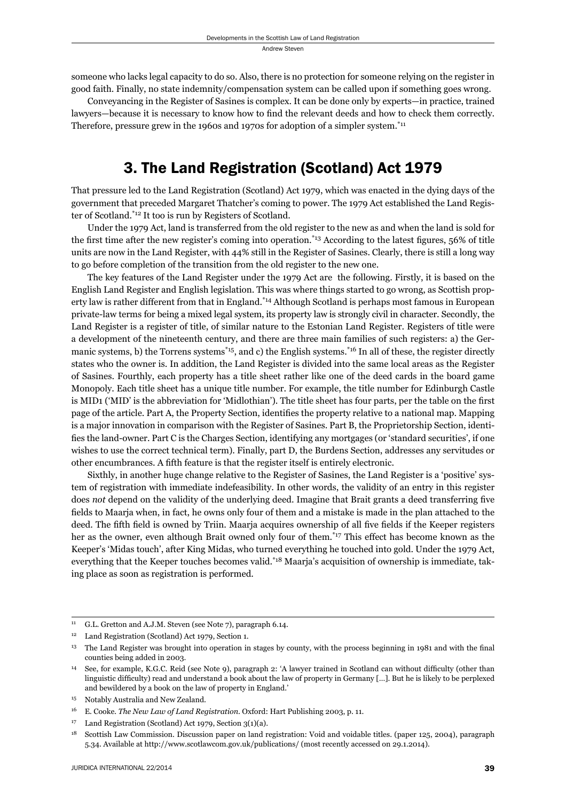someone who lacks legal capacity to do so. Also, there is no protection for someone relying on the register in good faith. Finally, no state indemnity/compensation system can be called upon if something goes wrong.

Conveyancing in the Register of Sasines is complex. It can be done only by experts—in practice, trained lawyers—because it is necessary to know how to find the relevant deeds and how to check them correctly. Therefore, pressure grew in the 1960s and 1970s for adoption of a simpler system.\*11

#### 3. The Land Registration (Scotland) Act 1979

That pressure led to the Land Registration (Scotland) Act 1979, which was enacted in the dying days of the government that preceded Margaret Thatcher's coming to power. The 1979 Act established the Land Register of Scotland.\*12 It too is run by Registers of Scotland.

Under the 1979 Act, land is transferred from the old register to the new as and when the land is sold for the first time after the new register's coming into operation.<sup> $*$ 13</sup> According to the latest figures,  $56\%$  of title units are now in the Land Register, with 44% still in the Register of Sasines. Clearly, there is still a long way to go before completion of the transition from the old register to the new one.

The key features of the Land Register under the 1979 Act are the following. Firstly, it is based on the English Land Register and English legislation. This was where things started to go wrong, as Scottish property law is rather different from that in England.\*14 Although Scotland is perhaps most famous in European private-law terms for being a mixed legal system, its property law is strongly civil in character. Secondly, the Land Register is a register of title, of similar nature to the Estonian Land Register. Registers of title were a development of the nineteenth century, and there are three main families of such registers: a) the Germanic systems, b) the Torrens systems<sup>\*15</sup>, and c) the English systems.<sup>\*16</sup> In all of these, the register directly states who the owner is. In addition, the Land Register is divided into the same local areas as the Register of Sasines. Fourthly, each property has a title sheet rather like one of the deed cards in the board game Monopoly. Each title sheet has a unique title number. For example, the title number for Edinburgh Castle is MID1 ('MID' is the abbreviation for 'Midlothian'). The title sheet has four parts, per the table on the first page of the article. Part A, the Property Section, identifies the property relative to a national map. Mapping is a major innovation in comparison with the Register of Sasines. Part B, the Proprietorship Section, identifies the land-owner. Part C is the Charges Section, identifying any mortgages (or 'standard securities', if one wishes to use the correct technical term). Finally, part D, the Burdens Section, addresses any servitudes or other encumbrances. A fifth feature is that the register itself is entirely electronic.

Sixthly, in another huge change relative to the Register of Sasines, the Land Register is a 'positive' system of registration with immediate indefeasibility. In other words, the validity of an entry in this register does not depend on the validity of the underlying deed. Imagine that Brait grants a deed transferring five fields to Maarja when, in fact, he owns only four of them and a mistake is made in the plan attached to the deed. The fifth field is owned by Triin. Maarja acquires ownership of all five fields if the Keeper registers her as the owner, even although Brait owned only four of them.<sup>\*17</sup> This effect has become known as the Keeper's 'Midas touch', after King Midas, who turned everything he touched into gold. Under the 1979 Act, everything that the Keeper touches becomes valid.\*18 Maarja's acquisition of ownership is immediate, taking place as soon as registration is performed.

<sup>&</sup>lt;sup>11</sup> G.L. Gretton and A.J.M. Steven (see Note 7), paragraph 6.14.

<sup>&</sup>lt;sup>12</sup> Land Registration (Scotland) Act 1979, Section 1.

<sup>&</sup>lt;sup>13</sup> The Land Register was brought into operation in stages by county, with the process beginning in 1981 and with the final counties being added in 2003.

<sup>&</sup>lt;sup>14</sup> See, for example, K.G.C. Reid (see Note 9), paragraph 2: 'A lawyer trained in Scotland can without difficulty (other than linguistic difficulty) read and understand a book about the law of property in Germany [...]. But he is likely to be perplexed and bewildered by a book on the law of property in England.'

<sup>15</sup> Notably Australia and New Zealand.

<sup>16</sup> E. Cooke. *The New Law of Land Registration*. Oxford: Hart Publishing 2003, p. 11.

<sup>17</sup> Land Registration (Scotland) Act 1979, Section 3(1)(a).

<sup>18</sup> Scottish Law Commission. Discussion paper on land registration: Void and voidable titles. (paper 125, 2004), paragraph 5.34. Available at http://www.scotlawcom.gov.uk/publications/ (most recently accessed on 29.1.2014).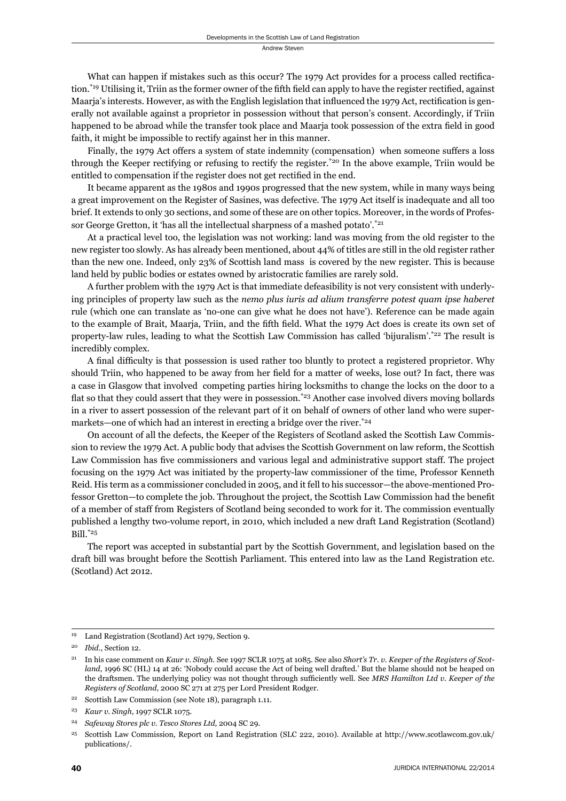What can happen if mistakes such as this occur? The 1979 Act provides for a process called rectification.<sup>\*19</sup> Utilising it, Triin as the former owner of the fifth field can apply to have the register rectified, against Maaria's interests. However, as with the English legislation that influenced the 1979 Act, rectification is generally not available against a proprietor in possession without that person's consent. Accordingly, if Triin happened to be abroad while the transfer took place and Maarja took possession of the extra field in good faith, it might be impossible to rectify against her in this manner.

Finally, the 1979 Act offers a system of state indemnity (compensation) when someone suffers a loss through the Keeper rectifying or refusing to rectify the register.\*20 In the above example, Triin would be entitled to compensation if the register does not get rectified in the end.

It became apparent as the 1980s and 1990s progressed that the new system, while in many ways being a great improvement on the Register of Sasines, was defective. The 1979 Act itself is inadequate and all too brief. It extends to only 30 sections, and some of these are on other topics. Moreover, in the words of Professor George Gretton, it 'has all the intellectual sharpness of a mashed potato'.<sup>\*21</sup>

At a practical level too, the legislation was not working: land was moving from the old register to the new register too slowly. As has already been mentioned, about 44% of titles are still in the old register rather than the new one. Indeed, only 23% of Scottish land mass is covered by the new register. This is because land held by public bodies or estates owned by aristocratic families are rarely sold.

A further problem with the 1979 Act is that immediate defeasibility is not very consistent with underlying principles of property law such as the *nemo plus iuris ad alium transferre potest quam ipse haberet*  rule (which one can translate as 'no-one can give what he does not have'). Reference can be made again to the example of Brait, Maarja, Triin, and the fifth field. What the 1979 Act does is create its own set of property-law rules, leading to what the Scottish Law Commission has called 'bijuralism'. $z^{22}$  The result is incredibly complex.

A final difficulty is that possession is used rather too bluntly to protect a registered proprietor. Why should Triin, who happened to be away from her field for a matter of weeks, lose out? In fact, there was a case in Glasgow that involved competing parties hiring locksmiths to change the locks on the door to a flat so that they could assert that they were in possession.<sup>\*23</sup> Another case involved divers moving bollards in a river to assert possession of the relevant part of it on behalf of owners of other land who were supermarkets—one of which had an interest in erecting a bridge over the river.<sup>\*24</sup>

On account of all the defects, the Keeper of the Registers of Scotland asked the Scottish Law Commission to review the 1979 Act. A public body that advises the Scottish Government on law reform, the Scottish Law Commission has five commissioners and various legal and administrative support staff. The project focusing on the 1979 Act was initiated by the property-law commissioner of the time, Professor Kenneth Reid. His term as a commissioner concluded in 2005, and it fell to his successor—the above-mentioned Professor Gretton—to complete the job. Throughout the project, the Scottish Law Commission had the benefit of a member of staff from Registers of Scotland being seconded to work for it. The commission eventually published a lengthy two-volume report, in 2010, which included a new draft Land Registration (Scotland) Bill.\*25

The report was accepted in substantial part by the Scottish Government, and legislation based on the draft bill was brought before the Scottish Parliament. This entered into law as the Land Registration etc. (Scotland) Act 2012.

<sup>19</sup> Land Registration (Scotland) Act 1979, Section 9.

<sup>20</sup> *Ibid*., Section 12.

<sup>21</sup> In his case comment on *Kaur v. Singh*. See 1997 SCLR 1075 at 1085. See also *Short's Tr. v. Keeper of the Registers of Scotland*, 1996 SC (HL) 14 at 26: 'Nobody could accuse the Act of being well drafted.' But the blame should not be heaped on the draftsmen. The underlying policy was not thought through sufficiently well. See MRS Hamilton Ltd v. Keeper of the *Registers of Scotland*, 2000 SC 271 at 275 per Lord President Rodger.

<sup>22</sup> Scottish Law Commission (see Note 18), paragraph 1.11.

<sup>23</sup> *Kaur v. Singh*, 1997 SCLR 1075.

<sup>24</sup> *Safeway Stores plc v. Tesco Stores Ltd*, 2004 SC 29.

<sup>25</sup> Scottish Law Commission, Report on Land Registration (SLC 222, 2010). Available at http://www.scotlawcom.gov.uk/ publications/.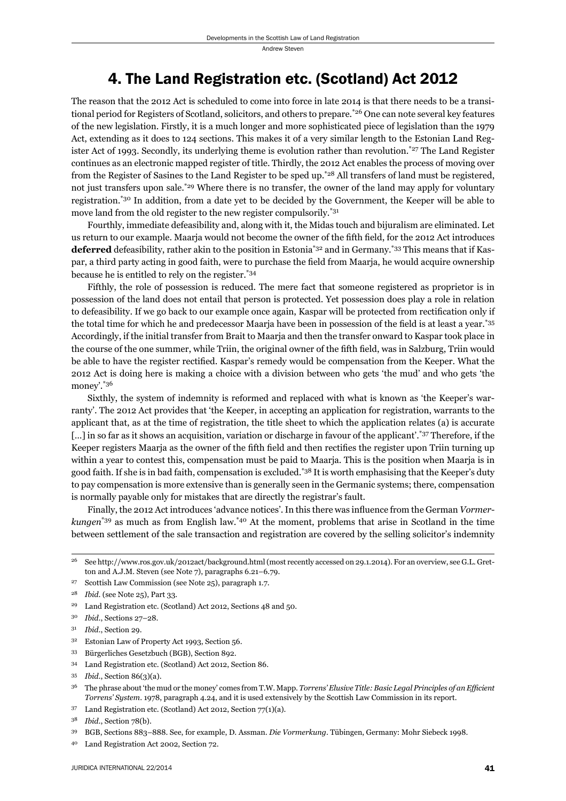### 4. The Land Registration etc. (Scotland) Act 2012

The reason that the 2012 Act is scheduled to come into force in late 2014 is that there needs to be a transitional period for Registers of Scotland, solicitors, and others to prepare.<sup>\*26</sup> One can note several key features of the new legislation. Firstly, it is a much longer and more sophisticated piece of legislation than the 1979 Act, extending as it does to 124 sections. This makes it of a very similar length to the Estonian Land Register Act of 1993. Secondly, its underlying theme is evolution rather than revolution.\*27 The Land Register continues as an electronic mapped register of title. Thirdly, the 2012 Act enables the process of moving over from the Register of Sasines to the Land Register to be sped up.\*28 All transfers of land must be registered, not just transfers upon sale.<sup>\*29</sup> Where there is no transfer, the owner of the land may apply for voluntary registration.\*30 In addition, from a date yet to be decided by the Government, the Keeper will be able to move land from the old register to the new register compulsorily.\*31

Fourthly, immediate defeasibility and, along with it, the Midas touch and bijuralism are eliminated. Let us return to our example. Maaria would not become the owner of the fifth field, for the 2012 Act introduces **deferred** defeasibility, rather akin to the position in Estonia\*32 and in Germany.\*33 This means that if Kaspar, a third party acting in good faith, were to purchase the field from Maarja, he would acquire ownership because he is entitled to rely on the register.\*34

Fifthly, the role of possession is reduced. The mere fact that someone registered as proprietor is in possession of the land does not entail that person is protected. Yet possession does play a role in relation to defeasibility. If we go back to our example once again, Kaspar will be protected from rectification only if the total time for which he and predecessor Maarja have been in possession of the field is at least a year.\*35 Accordingly, if the initial transfer from Brait to Maarja and then the transfer onward to Kaspar took place in the course of the one summer, while Triin, the original owner of the fifth field, was in Salzburg, Triin would be able to have the register rectified. Kaspar's remedy would be compensation from the Keeper. What the 2012 Act is doing here is making a choice with a division between who gets 'the mud' and who gets 'the money'.\*36

Sixthly, the system of indemnity is reformed and replaced with what is known as 'the Keeper's warranty'. The 2012 Act provides that 'the Keeper, in accepting an application for registration, warrants to the applicant that, as at the time of registration, the title sheet to which the application relates (a) is accurate [...] in so far as it shows an acquisition, variation or discharge in favour of the applicant'.\*37 Therefore, if the Keeper registers Maarja as the owner of the fifth field and then rectifies the register upon Triin turning up within a year to contest this, compensation must be paid to Maarja. This is the position when Maarja is in good faith. If she is in bad faith, compensation is excluded.\*38 It is worth emphasising that the Keeper's duty to pay compensation is more extensive than is generally seen in the Germanic systems; there, compensation is normally payable only for mistakes that are directly the registrar's fault.

Finally, the 2012 Act introduces 'advance notices'. In this there was influence from the German *Vormerkungen*\*39 as much as from English law.\*40 At the moment, problems that arise in Scotland in the time between settlement of the sale transaction and registration are covered by the selling solicitor's indemnity

- <sup>31</sup> *Ibid*., Section 29.
- 32 Estonian Law of Property Act 1993, Section 56.
- 33 Bürgerliches Gesetzbuch (BGB), Section 892.
- 34 Land Registration etc. (Scotland) Act 2012, Section 86.
- <sup>35</sup> *Ibid*., Section 86(3)(a).
- <sup>36</sup> The phrase about 'the mud or the money' comes from T.W. Mapp. *Torrens' Elusive Title: Basic Legal Principles of an Efficient Torrens' System*. 1978, paragraph 4.24, and it is used extensively by the Scottish Law Commission in its report.
- 37 Land Registration etc. (Scotland) Act 2012, Section 77(1)(a).

<sup>26</sup> See http://www.ros.gov.uk/2012act/background.html (most recently accessed on 29.1.2014). For an overview, see G.L. Gretton and A.J.M. Steven (see Note 7), paragraphs 6.21–6.79.

<sup>27</sup> Scottish Law Commission (see Note 25), paragraph 1.7.

<sup>28</sup> *Ibid*. (see Note 25), Part 33.

<sup>29</sup> Land Registration etc. (Scotland) Act 2012, Sections 48 and 50.

<sup>30</sup> *Ibid*., Sections 27–28.

<sup>38</sup> *Ibid*., Section 78(b).

<sup>39</sup> BGB, Sections 883–888. See, for example, D. Assman. *Die Vormerkung*. Tübingen, Germany: Mohr Siebeck 1998.

<sup>40</sup> Land Registration Act 2002, Section 72.